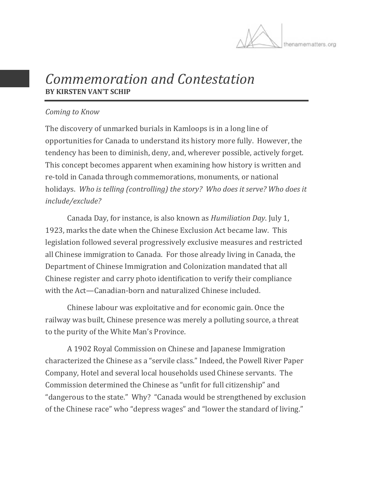

# *Commemoration and Contestation* **BY KIRSTEN VAN'T SCHIP**

#### *Coming to Know*

The discovery of unmarked burials in Kamloops is in a long line of opportunities for Canada to understand its history more fully. However, the tendency has been to diminish, deny, and, wherever possible, actively forget. This concept becomes apparent when examining how history is written and re-told in Canada through commemorations, monuments, or national holidays. *Who is telling (controlling) the story? Who does it serve? Who does it include/exclude?*

Canada Day, for instance, is also known as *Humiliation Day*. July 1, 1923, marks the date when the Chinese Exclusion Act became law. This legislation followed several progressively exclusive measures and restricted all Chinese immigration to Canada. For those already living in Canada, the Department of Chinese Immigration and Colonization mandated that all Chinese register and carry photo identification to verify their compliance with the Act—Canadian-born and naturalized Chinese included.

Chinese labour was exploitative and for economic gain. Once the railway was built, Chinese presence was merely a polluting source, a threat to the purity of the White Man's Province.

A 1902 Royal Commission on Chinese and Japanese Immigration characterized the Chinese as a "servile class." Indeed, the Powell River Paper Company, Hotel and several local households used Chinese servants. The Commission determined the Chinese as "unfit for full citizenship" and "dangerous to the state." Why? "Canada would be strengthened by exclusion of the Chinese race" who "depress wages" and "lower the standard of living."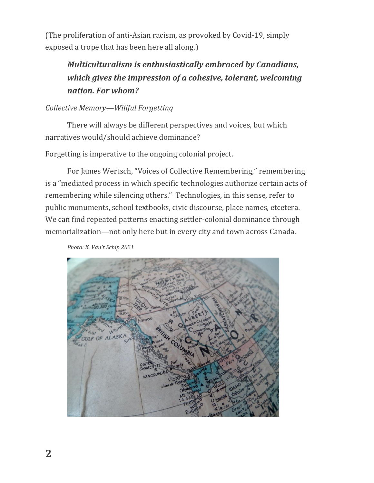(The proliferation of anti-Asian racism, as provoked by Covid-19, simply exposed a trope that has been here all along.)

## *Multiculturalism is enthusiastically embraced by Canadians, which gives the impression of a cohesive, tolerant, welcoming nation. For whom?*

### *Collective Memory—Willful Forgetting*

There will always be different perspectives and voices, but which narratives would/should achieve dominance?

Forgetting is imperative to the ongoing colonial project.

For James Wertsch, "Voices of Collective Remembering," remembering is a "mediated process in which specific technologies authorize certain acts of remembering while silencing others." Technologies, in this sense, refer to public monuments, school textbooks, civic discourse, place names, etcetera. We can find repeated patterns enacting settler-colonial dominance through memorialization—not only here but in every city and town across Canada.

*Photo: K. Van't Schip 2021*